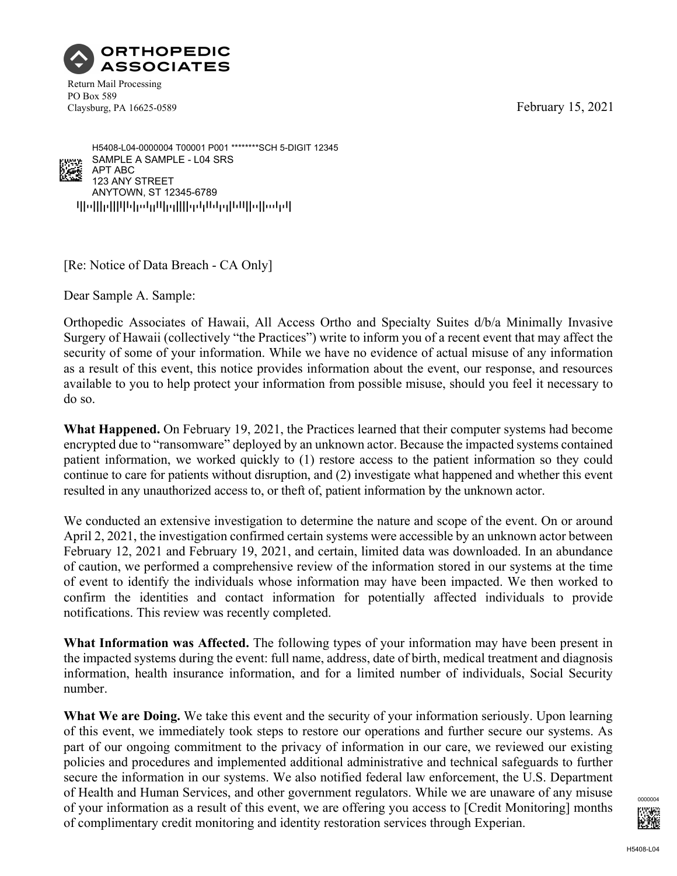February 15, 2021



Return Mail Processing PO Box 589 Claysburg, PA 16625-0589



[Re: Notice of Data Breach - CA Only]

Dear Sample A. Sample:

Orthopedic Associates of Hawaii, All Access Ortho and Specialty Suites d/b/a Minimally Invasive Surgery of Hawaii (collectively "the Practices") write to inform you of a recent event that may affect the security of some of your information. While we have no evidence of actual misuse of any information as a result of this event, this notice provides information about the event, our response, and resources available to you to help protect your information from possible misuse, should you feel it necessary to do so.

**What Happened.** On February 19, 2021, the Practices learned that their computer systems had become encrypted due to "ransomware" deployed by an unknown actor. Because the impacted systems contained patient information, we worked quickly to (1) restore access to the patient information so they could continue to care for patients without disruption, and (2) investigate what happened and whether this event resulted in any unauthorized access to, or theft of, patient information by the unknown actor.

We conducted an extensive investigation to determine the nature and scope of the event. On or around April 2, 2021, the investigation confirmed certain systems were accessible by an unknown actor between February 12, 2021 and February 19, 2021, and certain, limited data was downloaded. In an abundance of caution, we performed a comprehensive review of the information stored in our systems at the time of event to identify the individuals whose information may have been impacted. We then worked to confirm the identities and contact information for potentially affected individuals to provide notifications. This review was recently completed.

**What Information was Affected.** The following types of your information may have been present in the impacted systems during the event: full name, address, date of birth, medical treatment and diagnosis information, health insurance information, and for a limited number of individuals, Social Security number.

**What We are Doing.** We take this event and the security of your information seriously. Upon learning of this event, we immediately took steps to restore our operations and further secure our systems. As part of our ongoing commitment to the privacy of information in our care, we reviewed our existing policies and procedures and implemented additional administrative and technical safeguards to further secure the information in our systems. We also notified federal law enforcement, the U.S. Department of Health and Human Services, and other government regulators. While we are unaware of any misuse of your information as a result of this event, we are offering you access to [Credit Monitoring] months of complimentary credit monitoring and identity restoration services through Experian.

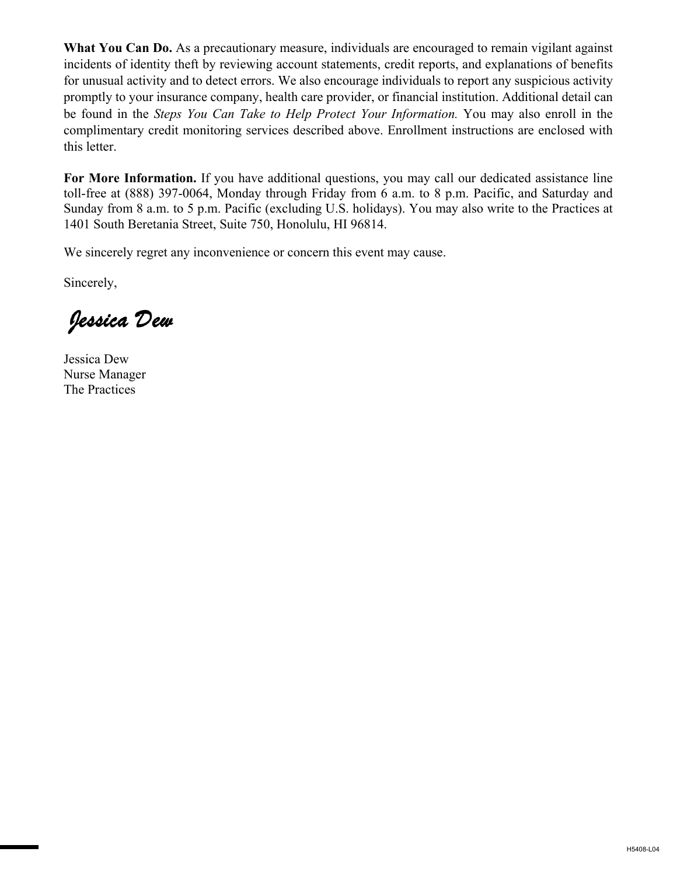**What You Can Do.** As a precautionary measure, individuals are encouraged to remain vigilant against incidents of identity theft by reviewing account statements, credit reports, and explanations of benefits for unusual activity and to detect errors. We also encourage individuals to report any suspicious activity promptly to your insurance company, health care provider, or financial institution. Additional detail can be found in the *Steps You Can Take to Help Protect Your Information.* You may also enroll in the complimentary credit monitoring services described above. Enrollment instructions are enclosed with this letter.

For More Information. If you have additional questions, you may call our dedicated assistance line toll-free at (888) 397-0064, Monday through Friday from 6 a.m. to 8 p.m. Pacific, and Saturday and Sunday from 8 a.m. to 5 p.m. Pacific (excluding U.S. holidays). You may also write to the Practices at 1401 South Beretania Street, Suite 750, Honolulu, HI 96814.

We sincerely regret any inconvenience or concern this event may cause.

Sincerely,

Jessica Dew

Jessica Dew Nurse Manager The Practices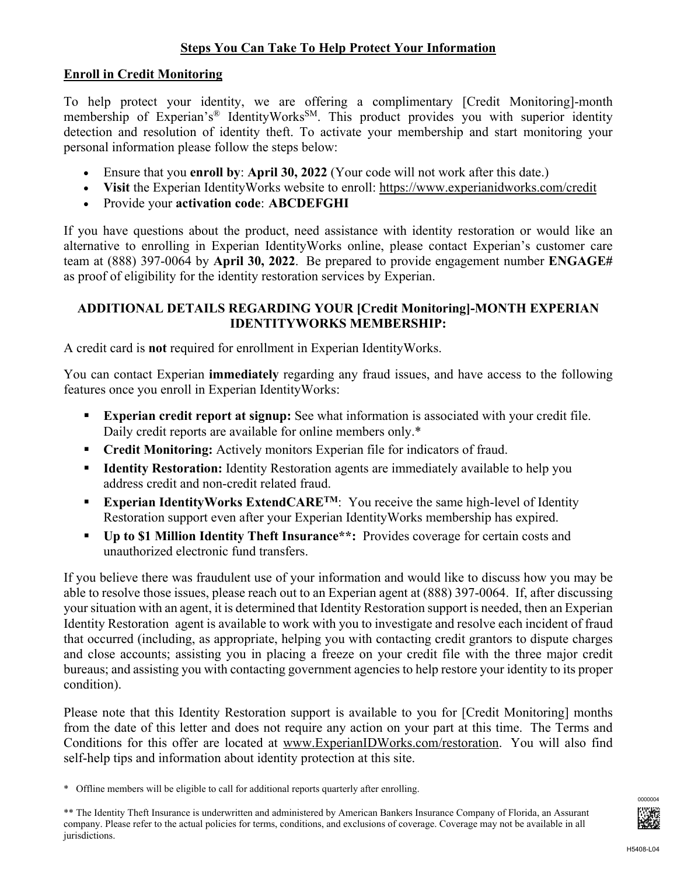# **Steps You Can Take To Help Protect Your Information**

#### **Enroll in Credit Monitoring**

To help protect your identity, we are offering a complimentary [Credit Monitoring]-month membership of Experian's® IdentityWorks<sup>SM</sup>. This product provides you with superior identity detection and resolution of identity theft. To activate your membership and start monitoring your personal information please follow the steps below:

- Ensure that you **enroll by**: **April 30, 2022** (Your code will not work after this date.)
- **Visit** the Experian IdentityWorks website to enroll: https://www.experianidworks.com/credit
- Provide your **activation code**: **ABCDEFGHI**

If you have questions about the product, need assistance with identity restoration or would like an alternative to enrolling in Experian IdentityWorks online, please contact Experian's customer care team at (888) 397-0064 by **April 30, 2022**. Be prepared to provide engagement number **ENGAGE#** as proof of eligibility for the identity restoration services by Experian.

#### **IDENTITYWORKS MEMBERSHIP: ADDITIONAL DETAILS REGARDING YOUR [Credit Monitoring]-MONTH EXPERIAN**

A credit card is **not** required for enrollment in Experian IdentityWorks.

You can contact Experian **immediately** regarding any fraud issues, and have access to the following features once you enroll in Experian IdentityWorks:

- **Experian credit report at signup:** See what information is associated with your credit file. Daily credit reports are available for online members only.\*
- **Credit Monitoring:** Actively monitors Experian file for indicators of fraud.
- **Identity Restoration:** Identity Restoration agents are immediately available to help you address credit and non-credit related fraud.
- **Experian IdentityWorks ExtendCARE<sup>TM</sup>:** You receive the same high-level of Identity Restoration support even after your Experian IdentityWorks membership has expired.
- **Up to \$1 Million Identity Theft Insurance\*\*:** Provides coverage for certain costs and unauthorized electronic fund transfers.

If you believe there was fraudulent use of your information and would like to discuss how you may be able to resolve those issues, please reach out to an Experian agent at (888) 397-0064. If, after discussing your situation with an agent, it is determined that Identity Restoration support is needed, then an Experian Identity Restoration agent is available to work with you to investigate and resolve each incident of fraud that occurred (including, as appropriate, helping you with contacting credit grantors to dispute charges and close accounts; assisting you in placing a freeze on your credit file with the three major credit bureaus; and assisting you with contacting government agencies to help restore your identity to its proper condition).

Please note that this Identity Restoration support is available to you for [Credit Monitoring] months from the date of this letter and does not require any action on your part at this time. The Terms and Conditions for this offer are located at www.ExperianIDWorks.com/restoration. You will also find self-help tips and information about identity protection at this site.

<sup>\*\*</sup> The Identity Theft Insurance is underwritten and administered by American Bankers Insurance Company of Florida, an Assurant company. Please refer to the actual policies for terms, conditions, and exclusions of coverage. Coverage may not be available in all jurisdictions.



<sup>\*</sup> Offline members will be eligible to call for additional reports quarterly after enrolling.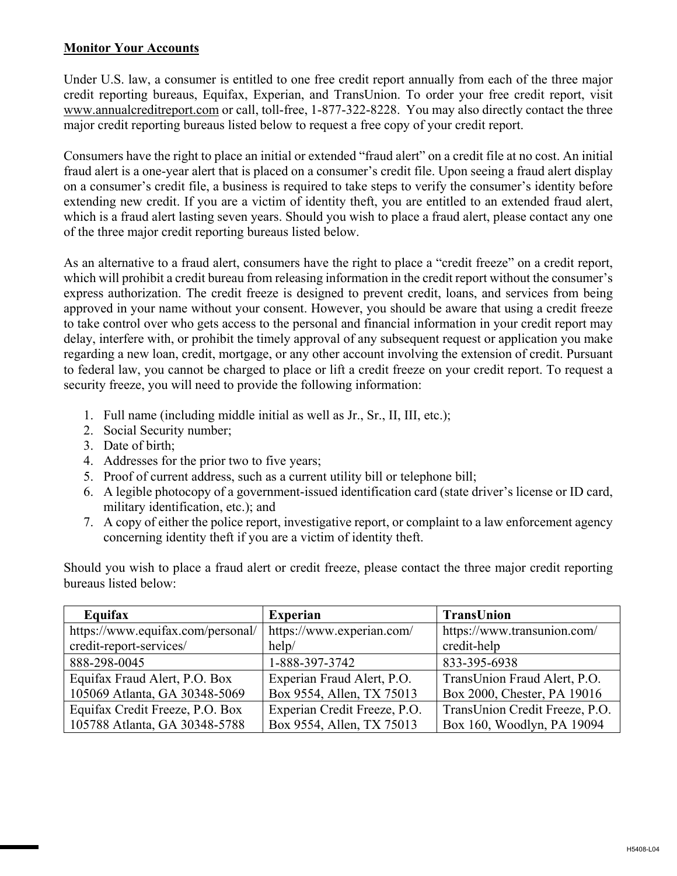### **Monitor Your Accounts**

Under U.S. law, a consumer is entitled to one free credit report annually from each of the three major credit reporting bureaus, Equifax, Experian, and TransUnion. To order your free credit report, visit www.annualcreditreport.com or call, toll-free, 1-877-322-8228. You may also directly contact the three major credit reporting bureaus listed below to request a free copy of your credit report.

Consumers have the right to place an initial or extended "fraud alert" on a credit file at no cost. An initial fraud alert is a one-year alert that is placed on a consumer's credit file. Upon seeing a fraud alert display on a consumer's credit file, a business is required to take steps to verify the consumer's identity before extending new credit. If you are a victim of identity theft, you are entitled to an extended fraud alert, which is a fraud alert lasting seven years. Should you wish to place a fraud alert, please contact any one of the three major credit reporting bureaus listed below.

As an alternative to a fraud alert, consumers have the right to place a "credit freeze" on a credit report, which will prohibit a credit bureau from releasing information in the credit report without the consumer's express authorization. The credit freeze is designed to prevent credit, loans, and services from being approved in your name without your consent. However, you should be aware that using a credit freeze to take control over who gets access to the personal and financial information in your credit report may delay, interfere with, or prohibit the timely approval of any subsequent request or application you make regarding a new loan, credit, mortgage, or any other account involving the extension of credit. Pursuant to federal law, you cannot be charged to place or lift a credit freeze on your credit report. To request a security freeze, you will need to provide the following information:

- 1. Full name (including middle initial as well as Jr., Sr., II, III, etc.);
- 2. Social Security number;
- 3. Date of birth;
- 4. Addresses for the prior two to five years;
- 5. Proof of current address, such as a current utility bill or telephone bill;
- 6. A legible photocopy of a government-issued identification card (state driver's license or ID card, military identification, etc.); and
- 7. A copy of either the police report, investigative report, or complaint to a law enforcement agency concerning identity theft if you are a victim of identity theft.

Should you wish to place a fraud alert or credit freeze, please contact the three major credit reporting bureaus listed below:

| Equifax                           | <b>Experian</b>              | <b>TransUnion</b>              |
|-----------------------------------|------------------------------|--------------------------------|
| https://www.equifax.com/personal/ | https://www.experian.com/    | https://www.transunion.com/    |
| credit-report-services/           | help/                        | credit-help                    |
| 888-298-0045                      | 1-888-397-3742               | 833-395-6938                   |
| Equifax Fraud Alert, P.O. Box     | Experian Fraud Alert, P.O.   | TransUnion Fraud Alert, P.O.   |
| 105069 Atlanta, GA 30348-5069     | Box 9554, Allen, TX 75013    | Box 2000, Chester, PA 19016    |
| Equifax Credit Freeze, P.O. Box   | Experian Credit Freeze, P.O. | TransUnion Credit Freeze, P.O. |
| 105788 Atlanta, GA 30348-5788     | Box 9554, Allen, TX 75013    | Box 160, Woodlyn, PA 19094     |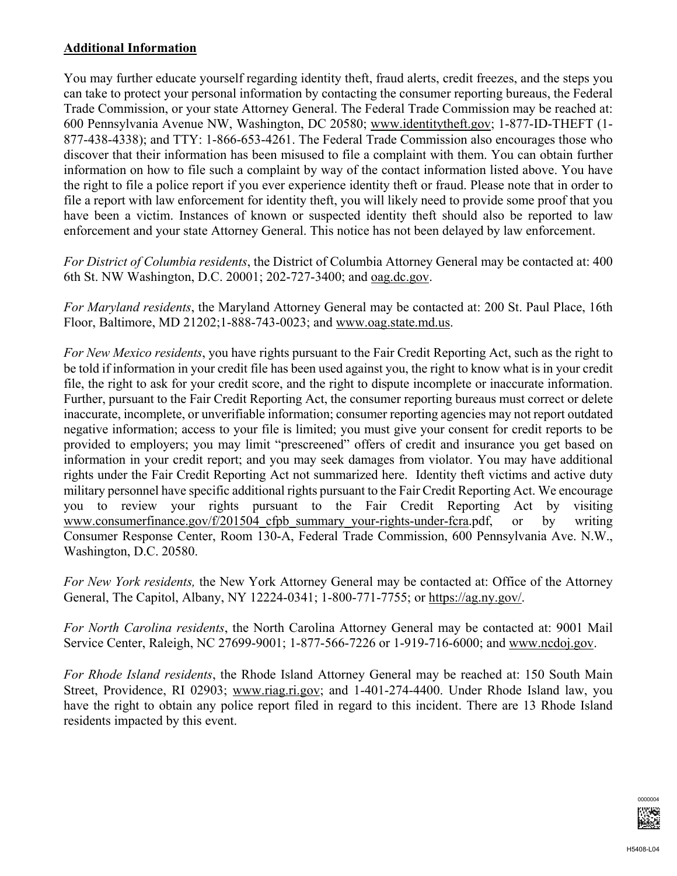# **Additional Information**

You may further educate yourself regarding identity theft, fraud alerts, credit freezes, and the steps you can take to protect your personal information by contacting the consumer reporting bureaus, the Federal Trade Commission, or your state Attorney General. The Federal Trade Commission may be reached at: 600 Pennsylvania Avenue NW, Washington, DC 20580; www.identitytheft.gov; 1-877-ID-THEFT (1- 877-438-4338); and TTY: 1-866-653-4261. The Federal Trade Commission also encourages those who discover that their information has been misused to file a complaint with them. You can obtain further information on how to file such a complaint by way of the contact information listed above. You have the right to file a police report if you ever experience identity theft or fraud. Please note that in order to file a report with law enforcement for identity theft, you will likely need to provide some proof that you have been a victim. Instances of known or suspected identity theft should also be reported to law enforcement and your state Attorney General. This notice has not been delayed by law enforcement.

*For District of Columbia residents*, the District of Columbia Attorney General may be contacted at: 400 6th St. NW Washington, D.C. 20001; 202-727-3400; and oag.dc.gov.

*For Maryland residents*, the Maryland Attorney General may be contacted at: 200 St. Paul Place, 16th Floor, Baltimore, MD 21202;1-888-743-0023; and www.oag.state.md.us.

*For New Mexico residents*, you have rights pursuant to the Fair Credit Reporting Act, such as the right to be told if information in your credit file has been used against you, the right to know what is in your credit file, the right to ask for your credit score, and the right to dispute incomplete or inaccurate information. Further, pursuant to the Fair Credit Reporting Act, the consumer reporting bureaus must correct or delete inaccurate, incomplete, or unverifiable information; consumer reporting agencies may not report outdated negative information; access to your file is limited; you must give your consent for credit reports to be provided to employers; you may limit "prescreened" offers of credit and insurance you get based on information in your credit report; and you may seek damages from violator. You may have additional rights under the Fair Credit Reporting Act not summarized here. Identity theft victims and active duty military personnel have specific additional rights pursuant to the Fair Credit Reporting Act. We encourage you to review your rights pursuant to the Fair Credit Reporting Act by visiting www.consumerfinance.gov/f/201504 cfpb summary your-rights-under-fcra.pdf, or by writing Consumer Response Center, Room 130-A, Federal Trade Commission, 600 Pennsylvania Ave. N.W., Washington, D.C. 20580.

*For New York residents,* the New York Attorney General may be contacted at: Office of the Attorney General, The Capitol, Albany, NY 12224-0341; 1-800-771-7755; or https://ag.ny.gov/.

*For North Carolina residents*, the North Carolina Attorney General may be contacted at: 9001 Mail Service Center, Raleigh, NC 27699-9001; 1-877-566-7226 or 1-919-716-6000; and www.ncdoj.gov.

*For Rhode Island residents*, the Rhode Island Attorney General may be reached at: 150 South Main Street, Providence, RI 02903; www.riag.ri.gov; and 1-401-274-4400. Under Rhode Island law, you have the right to obtain any police report filed in regard to this incident. There are 13 Rhode Island residents impacted by this event.

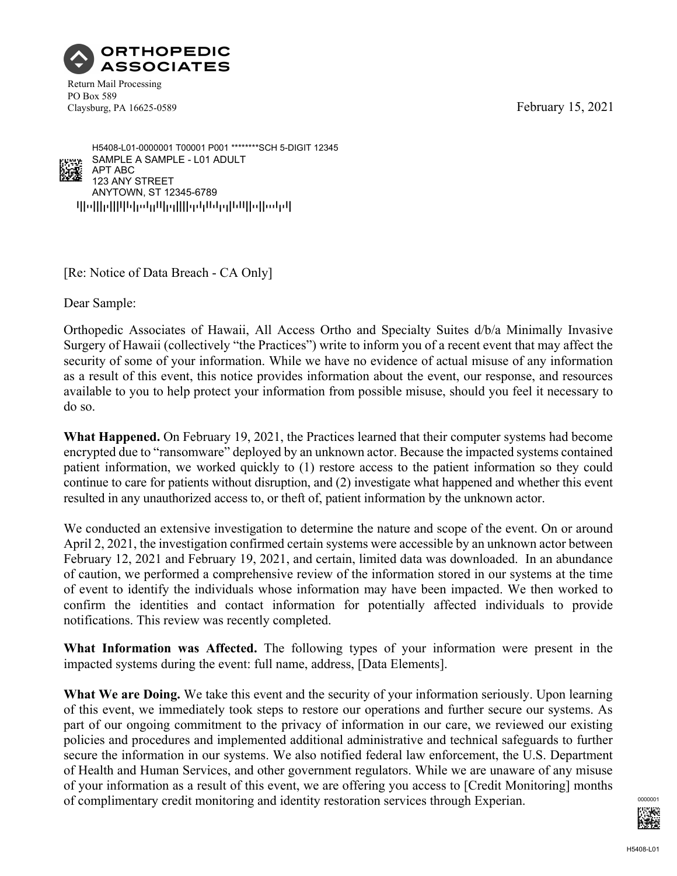February 15, 2021



Return Mail Processing PO Box 589 Claysburg, PA 16625-0589



[Re: Notice of Data Breach - CA Only]

Dear Sample:

Orthopedic Associates of Hawaii, All Access Ortho and Specialty Suites d/b/a Minimally Invasive Surgery of Hawaii (collectively "the Practices") write to inform you of a recent event that may affect the security of some of your information. While we have no evidence of actual misuse of any information as a result of this event, this notice provides information about the event, our response, and resources available to you to help protect your information from possible misuse, should you feel it necessary to do so.

**What Happened.** On February 19, 2021, the Practices learned that their computer systems had become encrypted due to "ransomware" deployed by an unknown actor. Because the impacted systems contained patient information, we worked quickly to (1) restore access to the patient information so they could continue to care for patients without disruption, and (2) investigate what happened and whether this event resulted in any unauthorized access to, or theft of, patient information by the unknown actor.

We conducted an extensive investigation to determine the nature and scope of the event. On or around April 2, 2021, the investigation confirmed certain systems were accessible by an unknown actor between February 12, 2021 and February 19, 2021, and certain, limited data was downloaded. In an abundance of caution, we performed a comprehensive review of the information stored in our systems at the time of event to identify the individuals whose information may have been impacted. We then worked to confirm the identities and contact information for potentially affected individuals to provide notifications. This review was recently completed.

**What Information was Affected.** The following types of your information were present in the impacted systems during the event: full name, address, [Data Elements].

**What We are Doing.** We take this event and the security of your information seriously. Upon learning of this event, we immediately took steps to restore our operations and further secure our systems. As part of our ongoing commitment to the privacy of information in our care, we reviewed our existing policies and procedures and implemented additional administrative and technical safeguards to further secure the information in our systems. We also notified federal law enforcement, the U.S. Department of Health and Human Services, and other government regulators. While we are unaware of any misuse of your information as a result of this event, we are offering you access to [Credit Monitoring] months of complimentary credit monitoring and identity restoration services through Experian.

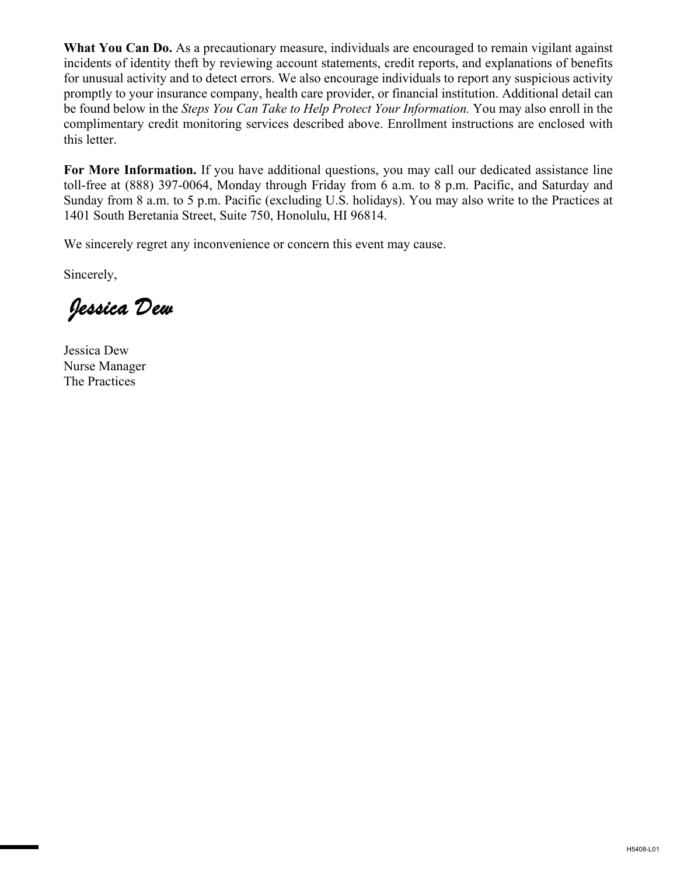**What You Can Do.** As a precautionary measure, individuals are encouraged to remain vigilant against incidents of identity theft by reviewing account statements, credit reports, and explanations of benefits for unusual activity and to detect errors. We also encourage individuals to report any suspicious activity promptly to your insurance company, health care provider, or financial institution. Additional detail can be found below in the *Steps You Can Take to Help Protect Your Information.* You may also enroll in the complimentary credit monitoring services described above. Enrollment instructions are enclosed with this letter.

**For More Information.** If you have additional questions, you may call our dedicated assistance line toll-free at (888) 397-0064, Monday through Friday from 6 a.m. to 8 p.m. Pacific, and Saturday and Sunday from 8 a.m. to 5 p.m. Pacific (excluding U.S. holidays). You may also write to the Practices at 1401 South Beretania Street, Suite 750, Honolulu, HI 96814.

We sincerely regret any inconvenience or concern this event may cause.

Sincerely,

Jessica Dew

Jessica Dew Nurse Manager The Practices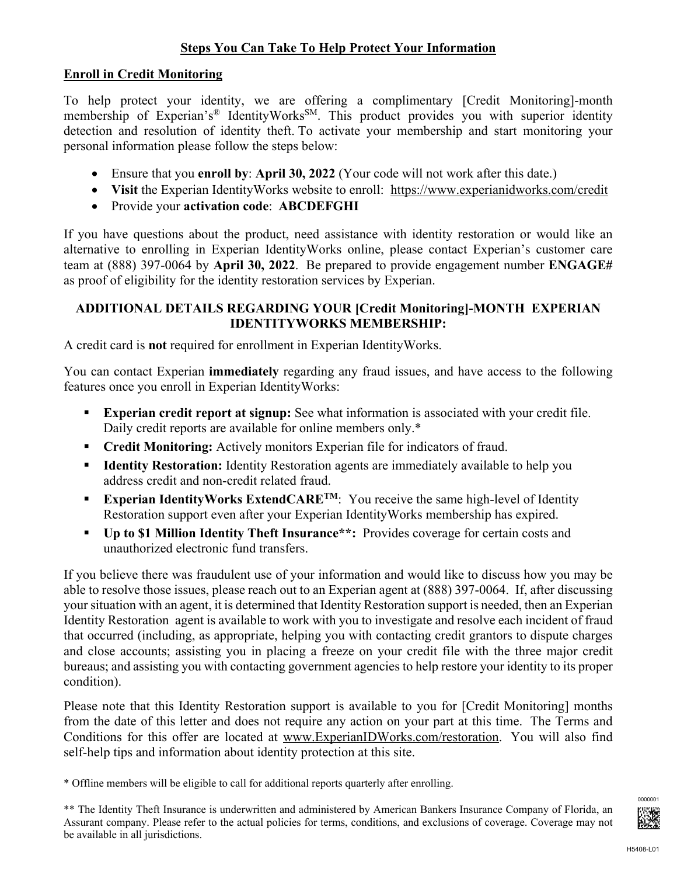# **Steps You Can Take To Help Protect Your Information**

#### **Enroll in Credit Monitoring**

To help protect your identity, we are offering a complimentary [Credit Monitoring]-month membership of Experian's® IdentityWorks<sup>SM</sup>. This product provides you with superior identity detection and resolution of identity theft. To activate your membership and start monitoring your personal information please follow the steps below:

- Ensure that you **enroll by**: **April 30, 2022** (Your code will not work after this date.)
- **Visit** the Experian IdentityWorks website to enroll: https://www.experianidworks.com/credit
- Provide your **activation code**: **ABCDEFGHI**

If you have questions about the product, need assistance with identity restoration or would like an alternative to enrolling in Experian IdentityWorks online, please contact Experian's customer care team at (888) 397-0064 by **April 30, 2022**. Be prepared to provide engagement number **ENGAGE#** as proof of eligibility for the identity restoration services by Experian.

#### **ADDITIONAL DETAILS REGARDING YOUR [Credit Monitoring]-MONTH EXPERIAN IDENTITYWORKS MEMBERSHIP:**

A credit card is **not** required for enrollment in Experian IdentityWorks.

You can contact Experian **immediately** regarding any fraud issues, and have access to the following features once you enroll in Experian IdentityWorks:

- **Experian credit report at signup:** See what information is associated with your credit file. Daily credit reports are available for online members only.\*
- **Credit Monitoring:** Actively monitors Experian file for indicators of fraud.
- **Identity Restoration:** Identity Restoration agents are immediately available to help you address credit and non-credit related fraud.
- **Experian IdentityWorks ExtendCARE<sup>TM</sup>:** You receive the same high-level of Identity Restoration support even after your Experian IdentityWorks membership has expired.
- **Up to \$1 Million Identity Theft Insurance\*\*:** Provides coverage for certain costs and unauthorized electronic fund transfers.

If you believe there was fraudulent use of your information and would like to discuss how you may be able to resolve those issues, please reach out to an Experian agent at (888) 397-0064. If, after discussing your situation with an agent, it is determined that Identity Restoration support is needed, then an Experian Identity Restoration agent is available to work with you to investigate and resolve each incident of fraud that occurred (including, as appropriate, helping you with contacting credit grantors to dispute charges and close accounts; assisting you in placing a freeze on your credit file with the three major credit bureaus; and assisting you with contacting government agencies to help restore your identity to its proper condition).

Please note that this Identity Restoration support is available to you for [Credit Monitoring] months from the date of this letter and does not require any action on your part at this time. The Terms and Conditions for this offer are located at www.ExperianIDWorks.com/restoration. You will also find self-help tips and information about identity protection at this site.

\* Offline members will be eligible to call for additional reports quarterly after enrolling.

\*\* The Identity Theft Insurance is underwritten and administered by American Bankers Insurance Company of Florida, an Assurant company. Please refer to the actual policies for terms, conditions, and exclusions of coverage. Coverage may not be available in all jurisdictions.

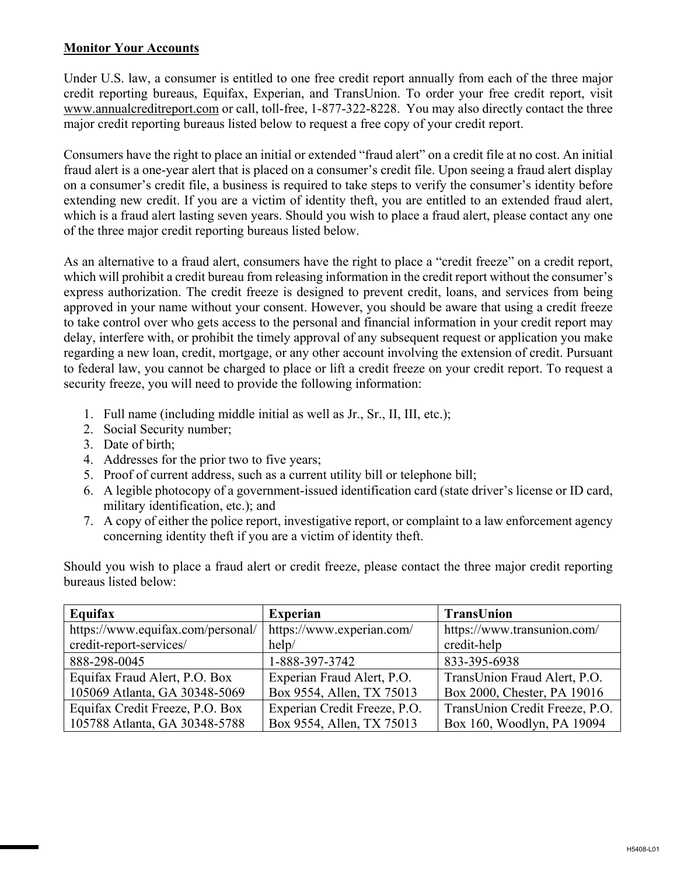### **Monitor Your Accounts**

Under U.S. law, a consumer is entitled to one free credit report annually from each of the three major credit reporting bureaus, Equifax, Experian, and TransUnion. To order your free credit report, visit www.annualcreditreport.com or call, toll-free, 1-877-322-8228. You may also directly contact the three major credit reporting bureaus listed below to request a free copy of your credit report.

Consumers have the right to place an initial or extended "fraud alert" on a credit file at no cost. An initial fraud alert is a one-year alert that is placed on a consumer's credit file. Upon seeing a fraud alert display on a consumer's credit file, a business is required to take steps to verify the consumer's identity before extending new credit. If you are a victim of identity theft, you are entitled to an extended fraud alert, which is a fraud alert lasting seven years. Should you wish to place a fraud alert, please contact any one of the three major credit reporting bureaus listed below.

As an alternative to a fraud alert, consumers have the right to place a "credit freeze" on a credit report, which will prohibit a credit bureau from releasing information in the credit report without the consumer's express authorization. The credit freeze is designed to prevent credit, loans, and services from being approved in your name without your consent. However, you should be aware that using a credit freeze to take control over who gets access to the personal and financial information in your credit report may delay, interfere with, or prohibit the timely approval of any subsequent request or application you make regarding a new loan, credit, mortgage, or any other account involving the extension of credit. Pursuant to federal law, you cannot be charged to place or lift a credit freeze on your credit report. To request a security freeze, you will need to provide the following information:

- 1. Full name (including middle initial as well as Jr., Sr., II, III, etc.);
- 2. Social Security number;
- 3. Date of birth;
- 4. Addresses for the prior two to five years;
- 5. Proof of current address, such as a current utility bill or telephone bill;
- 6. A legible photocopy of a government-issued identification card (state driver's license or ID card, military identification, etc.); and
- 7. A copy of either the police report, investigative report, or complaint to a law enforcement agency concerning identity theft if you are a victim of identity theft.

Should you wish to place a fraud alert or credit freeze, please contact the three major credit reporting bureaus listed below:

| Equifax                           | <b>Experian</b>              | <b>TransUnion</b>              |
|-----------------------------------|------------------------------|--------------------------------|
| https://www.equifax.com/personal/ | https://www.experian.com/    | https://www.transunion.com/    |
| credit-report-services/           | help/                        | credit-help                    |
| 888-298-0045                      | 1-888-397-3742               | 833-395-6938                   |
| Equifax Fraud Alert, P.O. Box     | Experian Fraud Alert, P.O.   | TransUnion Fraud Alert, P.O.   |
| 105069 Atlanta, GA 30348-5069     | Box 9554, Allen, TX 75013    | Box 2000, Chester, PA 19016    |
| Equifax Credit Freeze, P.O. Box   | Experian Credit Freeze, P.O. | TransUnion Credit Freeze, P.O. |
| 105788 Atlanta, GA 30348-5788     | Box 9554, Allen, TX 75013    | Box 160, Woodlyn, PA 19094     |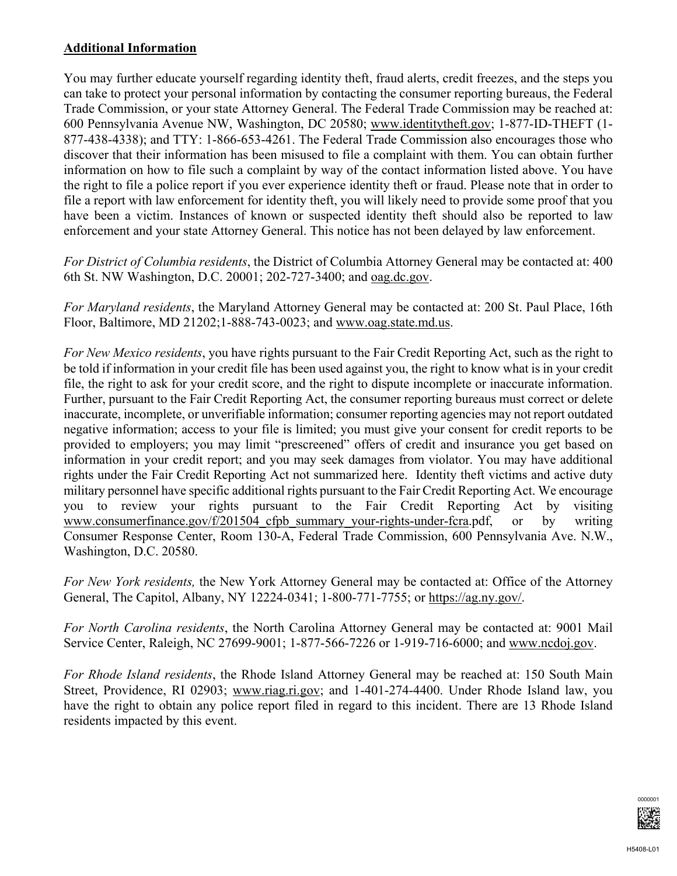# **Additional Information**

You may further educate yourself regarding identity theft, fraud alerts, credit freezes, and the steps you can take to protect your personal information by contacting the consumer reporting bureaus, the Federal Trade Commission, or your state Attorney General. The Federal Trade Commission may be reached at: 600 Pennsylvania Avenue NW, Washington, DC 20580; www.identitytheft.gov; 1-877-ID-THEFT (1- 877-438-4338); and TTY: 1-866-653-4261. The Federal Trade Commission also encourages those who discover that their information has been misused to file a complaint with them. You can obtain further information on how to file such a complaint by way of the contact information listed above. You have the right to file a police report if you ever experience identity theft or fraud. Please note that in order to file a report with law enforcement for identity theft, you will likely need to provide some proof that you have been a victim. Instances of known or suspected identity theft should also be reported to law enforcement and your state Attorney General. This notice has not been delayed by law enforcement.

*For District of Columbia residents*, the District of Columbia Attorney General may be contacted at: 400 6th St. NW Washington, D.C. 20001; 202-727-3400; and oag.dc.gov.

*For Maryland residents*, the Maryland Attorney General may be contacted at: 200 St. Paul Place, 16th Floor, Baltimore, MD 21202;1-888-743-0023; and www.oag.state.md.us.

*For New Mexico residents*, you have rights pursuant to the Fair Credit Reporting Act, such as the right to be told if information in your credit file has been used against you, the right to know what is in your credit file, the right to ask for your credit score, and the right to dispute incomplete or inaccurate information. Further, pursuant to the Fair Credit Reporting Act, the consumer reporting bureaus must correct or delete inaccurate, incomplete, or unverifiable information; consumer reporting agencies may not report outdated negative information; access to your file is limited; you must give your consent for credit reports to be provided to employers; you may limit "prescreened" offers of credit and insurance you get based on information in your credit report; and you may seek damages from violator. You may have additional rights under the Fair Credit Reporting Act not summarized here. Identity theft victims and active duty military personnel have specific additional rights pursuant to the Fair Credit Reporting Act. We encourage you to review your rights pursuant to the Fair Credit Reporting Act by visiting www.consumerfinance.gov/f/201504 cfpb summary your-rights-under-fcra.pdf, or by writing Consumer Response Center, Room 130-A, Federal Trade Commission, 600 Pennsylvania Ave. N.W., Washington, D.C. 20580.

*For New York residents,* the New York Attorney General may be contacted at: Office of the Attorney General, The Capitol, Albany, NY 12224-0341; 1-800-771-7755; or https://ag.ny.gov/.

*For North Carolina residents*, the North Carolina Attorney General may be contacted at: 9001 Mail Service Center, Raleigh, NC 27699-9001; 1-877-566-7226 or 1-919-716-6000; and www.ncdoj.gov.

*For Rhode Island residents*, the Rhode Island Attorney General may be reached at: 150 South Main Street, Providence, RI 02903; www.riag.ri.gov; and 1-401-274-4400. Under Rhode Island law, you have the right to obtain any police report filed in regard to this incident. There are 13 Rhode Island residents impacted by this event.

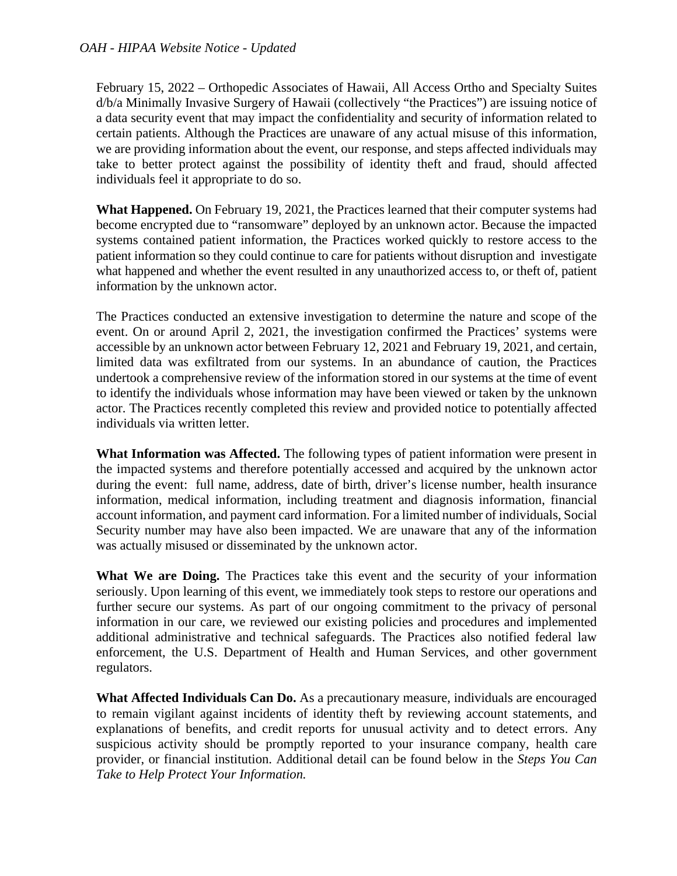February 15, 2022 – Orthopedic Associates of Hawaii, All Access Ortho and Specialty Suites d/b/a Minimally Invasive Surgery of Hawaii (collectively "the Practices") are issuing notice of a data security event that may impact the confidentiality and security of information related to certain patients. Although the Practices are unaware of any actual misuse of this information, we are providing information about the event, our response, and steps affected individuals may take to better protect against the possibility of identity theft and fraud, should affected individuals feel it appropriate to do so.

**What Happened.** On February 19, 2021, the Practices learned that their computer systems had become encrypted due to "ransomware" deployed by an unknown actor. Because the impacted systems contained patient information, the Practices worked quickly to restore access to the patient information so they could continue to care for patients without disruption and investigate what happened and whether the event resulted in any unauthorized access to, or theft of, patient information by the unknown actor.

The Practices conducted an extensive investigation to determine the nature and scope of the event. On or around April 2, 2021, the investigation confirmed the Practices' systems were accessible by an unknown actor between February 12, 2021 and February 19, 2021, and certain, limited data was exfiltrated from our systems. In an abundance of caution, the Practices undertook a comprehensive review of the information stored in our systems at the time of event to identify the individuals whose information may have been viewed or taken by the unknown actor. The Practices recently completed this review and provided notice to potentially affected individuals via written letter.

**What Information was Affected.** The following types of patient information were present in the impacted systems and therefore potentially accessed and acquired by the unknown actor during the event: full name, address, date of birth, driver's license number, health insurance information, medical information, including treatment and diagnosis information, financial account information, and payment card information. For a limited number of individuals, Social Security number may have also been impacted. We are unaware that any of the information was actually misused or disseminated by the unknown actor.

**What We are Doing.** The Practices take this event and the security of your information seriously. Upon learning of this event, we immediately took steps to restore our operations and further secure our systems. As part of our ongoing commitment to the privacy of personal information in our care, we reviewed our existing policies and procedures and implemented additional administrative and technical safeguards. The Practices also notified federal law enforcement, the U.S. Department of Health and Human Services, and other government regulators.

**What Affected Individuals Can Do.** As a precautionary measure, individuals are encouraged to remain vigilant against incidents of identity theft by reviewing account statements, and explanations of benefits, and credit reports for unusual activity and to detect errors. Any suspicious activity should be promptly reported to your insurance company, health care provider, or financial institution. Additional detail can be found below in the *Steps You Can Take to Help Protect Your Information.*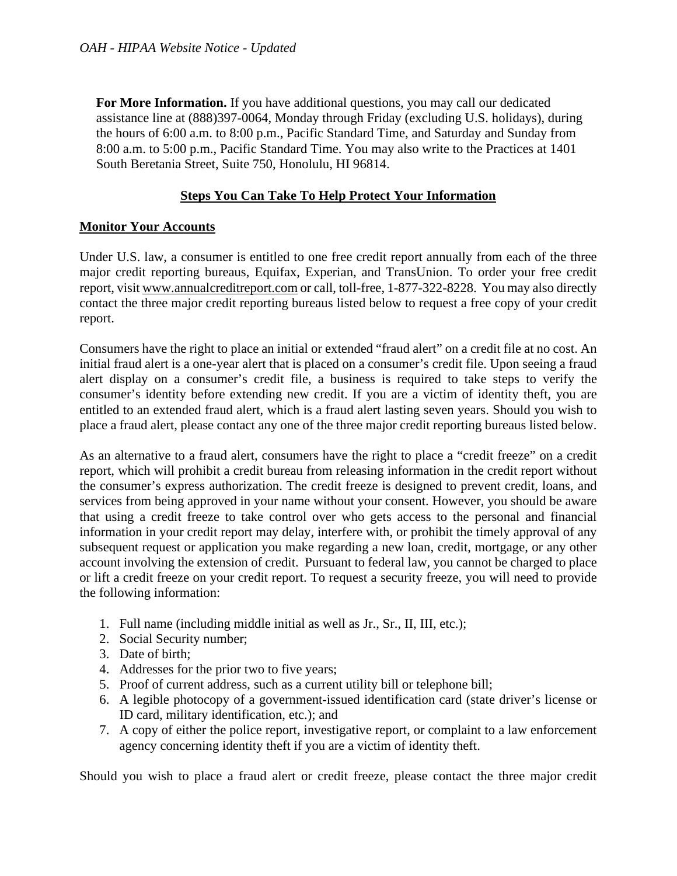**For More Information.** If you have additional questions, you may call our dedicated assistance line at (888)397-0064, Monday through Friday (excluding U.S. holidays), during the hours of 6:00 a.m. to 8:00 p.m., Pacific Standard Time, and Saturday and Sunday from 8:00 a.m. to 5:00 p.m., Pacific Standard Time. You may also write to the Practices at 1401 South Beretania Street, Suite 750, Honolulu, HI 96814.

# **Steps You Can Take To Help Protect Your Information**

# **Monitor Your Accounts**

Under U.S. law, a consumer is entitled to one free credit report annually from each of the three major credit reporting bureaus, Equifax, Experian, and TransUnion. To order your free credit report, visit www.annualcreditreport.com or call, toll-free, 1-877-322-8228. You may also directly contact the three major credit reporting bureaus listed below to request a free copy of your credit report.

Consumers have the right to place an initial or extended "fraud alert" on a credit file at no cost. An initial fraud alert is a one-year alert that is placed on a consumer's credit file. Upon seeing a fraud alert display on a consumer's credit file, a business is required to take steps to verify the consumer's identity before extending new credit. If you are a victim of identity theft, you are entitled to an extended fraud alert, which is a fraud alert lasting seven years. Should you wish to place a fraud alert, please contact any one of the three major credit reporting bureaus listed below.

As an alternative to a fraud alert, consumers have the right to place a "credit freeze" on a credit report, which will prohibit a credit bureau from releasing information in the credit report without the consumer's express authorization. The credit freeze is designed to prevent credit, loans, and services from being approved in your name without your consent. However, you should be aware that using a credit freeze to take control over who gets access to the personal and financial information in your credit report may delay, interfere with, or prohibit the timely approval of any subsequent request or application you make regarding a new loan, credit, mortgage, or any other account involving the extension of credit. Pursuant to federal law, you cannot be charged to place or lift a credit freeze on your credit report. To request a security freeze, you will need to provide the following information:

- 1. Full name (including middle initial as well as Jr., Sr., II, III, etc.);
- 2. Social Security number;
- 3. Date of birth;
- 4. Addresses for the prior two to five years;
- 5. Proof of current address, such as a current utility bill or telephone bill;
- 6. A legible photocopy of a government-issued identification card (state driver's license or ID card, military identification, etc.); and
- 7. A copy of either the police report, investigative report, or complaint to a law enforcement agency concerning identity theft if you are a victim of identity theft.

Should you wish to place a fraud alert or credit freeze, please contact the three major credit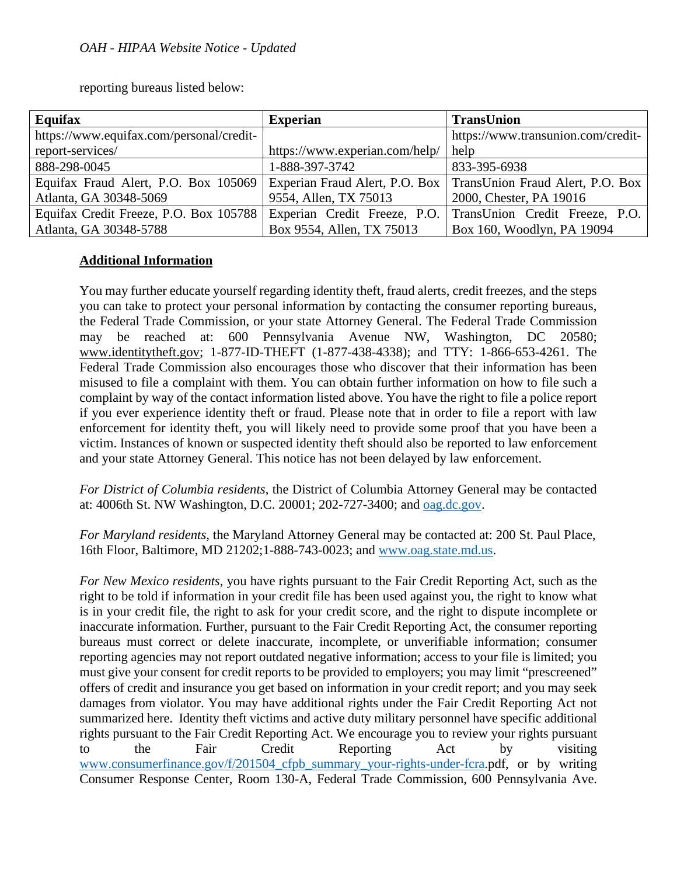reporting bureaus listed below:

| <b>Equifax</b>                                                        | <b>Experian</b>                | <b>TransUnion</b>                                                 |
|-----------------------------------------------------------------------|--------------------------------|-------------------------------------------------------------------|
| https://www.equifax.com/personal/credit-                              |                                | https://www.transunion.com/credit-                                |
| report-services/                                                      | https://www.experian.com/help/ | help                                                              |
| 888-298-0045                                                          | 1-888-397-3742                 | 833-395-6938                                                      |
| Equifax Fraud Alert, P.O. Box 105069                                  |                                | Experian Fraud Alert, P.O. Box   TransUnion Fraud Alert, P.O. Box |
| Atlanta, GA 30348-5069                                                | 9554, Allen, TX 75013          | 2000, Chester, PA 19016                                           |
| Equifax Credit Freeze, P.O. Box 105788   Experian Credit Freeze, P.O. |                                | TransUnion Credit Freeze, P.O.                                    |
| Atlanta, GA 30348-5788                                                | Box 9554, Allen, TX 75013      | Box 160, Woodlyn, PA 19094                                        |

#### **Additional Information**

You may further educate yourself regarding identity theft, fraud alerts, credit freezes, and the steps you can take to protect your personal information by contacting the consumer reporting bureaus, the Federal Trade Commission, or your state Attorney General. The Federal Trade Commission may be reached at: 600 Pennsylvania Avenue NW, Washington, DC 20580; www.identitytheft.gov; 1-877-ID-THEFT (1-877-438-4338); and TTY: 1-866-653-4261. The Federal Trade Commission also encourages those who discover that their information has been misused to file a complaint with them. You can obtain further information on how to file such a complaint by way of the contact information listed above. You have the right to file a police report if you ever experience identity theft or fraud. Please note that in order to file a report with law enforcement for identity theft, you will likely need to provide some proof that you have been a victim. Instances of known or suspected identity theft should also be reported to law enforcement and your state Attorney General. This notice has not been delayed by law enforcement.

*For District of Columbia residents*, the District of Columbia Attorney General may be contacted at: 4006th St. NW Washington, D.C. 20001; 202-727-3400; and [oag.dc.gov.](mailto:oag@dc.gov)

*For Maryland residents*, the Maryland Attorney General may be contacted at: 200 St. Paul Place, 16th Floor, Baltimore, MD 21202;1-888-743-0023; and [www.oag.state.md.us.](http://www.oag.state.md.us/)

*For New Mexico residents*, you have rights pursuant to the Fair Credit Reporting Act, such as the right to be told if information in your credit file has been used against you, the right to know what is in your credit file, the right to ask for your credit score, and the right to dispute incomplete or inaccurate information. Further, pursuant to the Fair Credit Reporting Act, the consumer reporting bureaus must correct or delete inaccurate, incomplete, or unverifiable information; consumer reporting agencies may not report outdated negative information; access to your file is limited; you must give your consent for credit reports to be provided to employers; you may limit "prescreened" offers of credit and insurance you get based on information in your credit report; and you may seek damages from violator. You may have additional rights under the Fair Credit Reporting Act not summarized here. Identity theft victims and active duty military personnel have specific additional rights pursuant to the Fair Credit Reporting Act. We encourage you to review your rights pursuant to the Fair Credit Reporting Act by visiting [www.consumerfinance.gov/f/201504\\_cfpb\\_summary\\_your-rights-under-fcra.](http://www.consumerfinance.gov/f/201504_cfpb_summary_your-rights-under-fcra)pdf, or by writing Consumer Response Center, Room 130-A, Federal Trade Commission, 600 Pennsylvania Ave.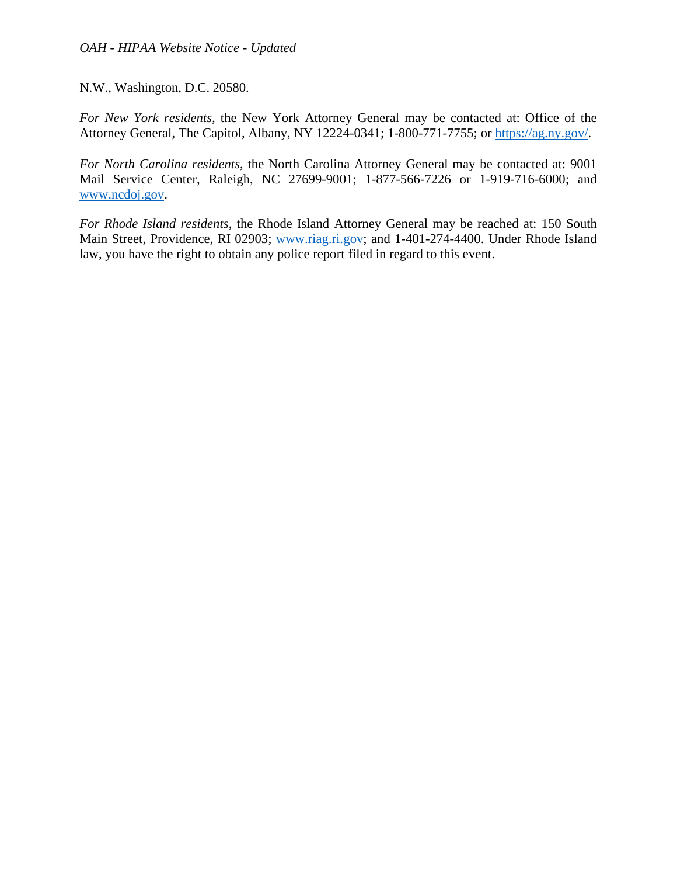N.W., Washington, D.C. 20580.

*For New York residents,* the New York Attorney General may be contacted at: Office of the Attorney General, The Capitol, Albany, NY 12224-0341; 1-800-771-7755; or [https://ag.ny.gov/.](https://ag.ny.gov/)

*For North Carolina residents*, the North Carolina Attorney General may be contacted at: 9001 Mail Service Center, Raleigh, NC 27699-9001; 1-877-566-7226 or 1-919-716-6000; and [www.ncdoj.gov.](http://www.ncdoj.gov/)

*For Rhode Island residents*, the Rhode Island Attorney General may be reached at: 150 South Main Street, Providence, RI 02903; [www.riag.ri.gov;](http://www.riag.ri.gov/) and 1-401-274-4400. Under Rhode Island law, you have the right to obtain any police report filed in regard to this event.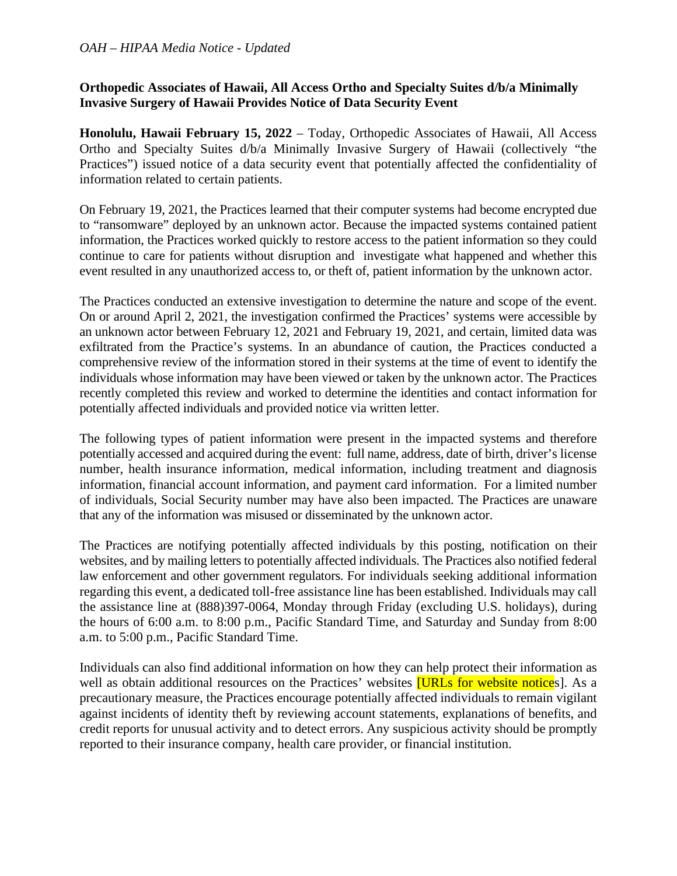#### **Orthopedic Associates of Hawaii, All Access Ortho and Specialty Suites d/b/a Minimally Invasive Surgery of Hawaii Provides Notice of Data Security Event**

**Honolulu, Hawaii February 15, 2022** – Today, Orthopedic Associates of Hawaii, All Access Ortho and Specialty Suites d/b/a Minimally Invasive Surgery of Hawaii (collectively "the Practices") issued notice of a data security event that potentially affected the confidentiality of information related to certain patients.

On February 19, 2021, the Practices learned that their computer systems had become encrypted due to "ransomware" deployed by an unknown actor. Because the impacted systems contained patient information, the Practices worked quickly to restore access to the patient information so they could continue to care for patients without disruption and investigate what happened and whether this event resulted in any unauthorized access to, or theft of, patient information by the unknown actor.

The Practices conducted an extensive investigation to determine the nature and scope of the event. On or around April 2, 2021, the investigation confirmed the Practices' systems were accessible by an unknown actor between February 12, 2021 and February 19, 2021, and certain, limited data was exfiltrated from the Practice's systems. In an abundance of caution, the Practices conducted a comprehensive review of the information stored in their systems at the time of event to identify the individuals whose information may have been viewed or taken by the unknown actor. The Practices recently completed this review and worked to determine the identities and contact information for potentially affected individuals and provided notice via written letter.

The following types of patient information were present in the impacted systems and therefore potentially accessed and acquired during the event: full name, address, date of birth, driver's license number, health insurance information, medical information, including treatment and diagnosis information, financial account information, and payment card information. For a limited number of individuals, Social Security number may have also been impacted. The Practices are unaware that any of the information was misused or disseminated by the unknown actor.

The Practices are notifying potentially affected individuals by this posting, notification on their websites, and by mailing letters to potentially affected individuals. The Practices also notified federal law enforcement and other government regulators. For individuals seeking additional information regarding this event, a dedicated toll-free assistance line has been established. Individuals may call the assistance line at (888)397-0064, Monday through Friday (excluding U.S. holidays), during the hours of 6:00 a.m. to 8:00 p.m., Pacific Standard Time, and Saturday and Sunday from 8:00 a.m. to 5:00 p.m., Pacific Standard Time.

Individuals can also find additional information on how they can help protect their information as well as obtain additional resources on the Practices' websites **URLs for website notice**s]. As a precautionary measure, the Practices encourage potentially affected individuals to remain vigilant against incidents of identity theft by reviewing account statements, explanations of benefits, and credit reports for unusual activity and to detect errors. Any suspicious activity should be promptly reported to their insurance company, health care provider, or financial institution.